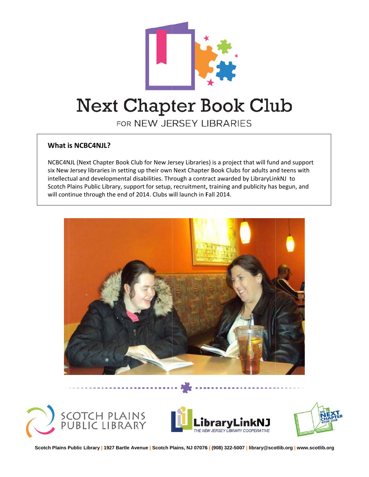

# **Next Chapter Book Club**

FOR NEW JERSEY LIBRARIES

## **What i s NCBC4NJ L?**

NCBC4NJL (Next Chapter Book Club for New Jersey Libraries) is a project that will fund and support six New Jersey libraries in setting up their own Next Chapter Book Clubs for adults and teens with intellectual and developmental disabilities. Through a contract awarded by LibraryLinkNJ to Scotch Plains Public Library, support for setup, recruitment, training and publicity has begun, and will continue through the end of 2014. Clubs will launch in Fall 2014.









**Scotch Plains P Public Library | 1927 Bartle Ave enue | Scotch P Plains, NJ 07076 6 | (908) 322-500 07 | library@sco otlib.org | www.s cotlib.org**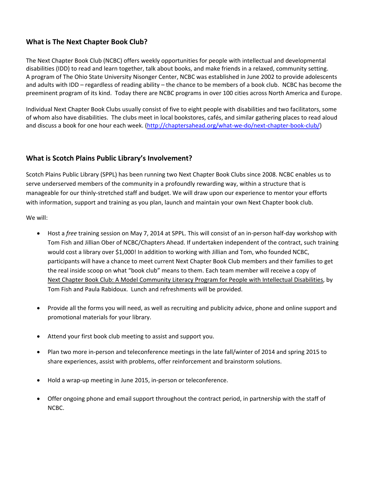#### **What is The Next Chapter Book Club?**

The Next Chapter Book Club (NCBC) offers weekly opportunities for people with intellectual and developmental disabilities (IDD) to read and learn together, talk about books, and make friends in a relaxed, community setting. A program of The Ohio State University Nisonger Center, NCBC was established in June 2002 to provide adolescents and adults with IDD – regardless of reading ability – the chance to be members of a book club. NCBC has become the preeminent program of its kind. Today there are NCBC programs in over 100 cities across North America and Europe.

Individual Next Chapter Book Clubs usually consist of five to eight people with disabilities and two facilitators, some of whom also have disabilities. The clubs meet in local bookstores, cafés, and similar gathering places to read aloud and discuss a book for one hour each week. (http://chaptersahead.org/what-we-do/next-chapter-book-club/)

#### **What is Scotch Plains Public Library's Involvement?**

Scotch Plains Public Library (SPPL) has been running two Next Chapter Book Clubs since 2008. NCBC enables us to serve underserved members of the community in a profoundly rewarding way, within a structure that is manageable for our thinly‐stretched staff and budget. We will draw upon our experience to mentor your efforts with information, support and training as you plan, launch and maintain your own Next Chapter book club.

We will:

- Host a *free* training session on May 7, 2014 at SPPL. This will consist of an in‐person half‐day workshop with Tom Fish and Jillian Ober of NCBC/Chapters Ahead. If undertaken independent of the contract, such training would cost a library over \$1,000! In addition to working with Jillian and Tom, who founded NCBC, participants will have a chance to meet current Next Chapter Book Club members and their families to get the real inside scoop on what "book club" means to them. Each team member will receive a copy of Next Chapter Book Club: A Model Community Literacy Program for People with Intellectual Disabilities, by Tom Fish and Paula Rabidoux. Lunch and refreshments will be provided.
- Provide all the forms you will need, as well as recruiting and publicity advice, phone and online support and promotional materials for your library.
- Attend your first book club meeting to assist and support you.
- Plan two more in-person and teleconference meetings in the late fall/winter of 2014 and spring 2015 to share experiences, assist with problems, offer reinforcement and brainstorm solutions.
- Hold a wrap-up meeting in June 2015, in-person or teleconference.
- Offer ongoing phone and email support throughout the contract period, in partnership with the staff of NCBC.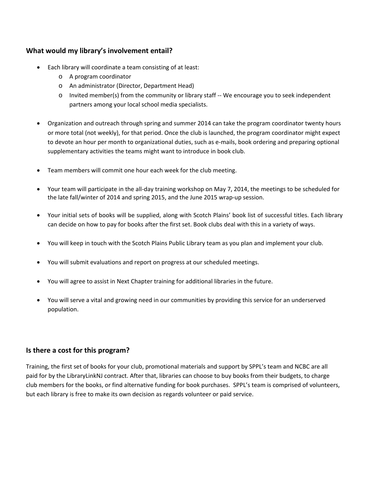#### **What would my library's involvement entail?**

- Each library will coordinate a team consisting of at least:
	- o A program coordinator
	- o An administrator (Director, Department Head)
	- o Invited member(s) from the community or library staff ‐‐ We encourage you to seek independent partners among your local school media specialists.
- Organization and outreach through spring and summer 2014 can take the program coordinator twenty hours or more total (not weekly), for that period. Once the club is launched, the program coordinator might expect to devote an hour per month to organizational duties, such as e‐mails, book ordering and preparing optional supplementary activities the teams might want to introduce in book club.
- Team members will commit one hour each week for the club meeting.
- Your team will participate in the all‐day training workshop on May 7, 2014, the meetings to be scheduled for the late fall/winter of 2014 and spring 2015, and the June 2015 wrap‐up session.
- Your initial sets of books will be supplied, along with Scotch Plains' book list of successful titles. Each library can decide on how to pay for books after the first set. Book clubs deal with this in a variety of ways.
- You will keep in touch with the Scotch Plains Public Library team as you plan and implement your club.
- You will submit evaluations and report on progress at our scheduled meetings.
- You will agree to assist in Next Chapter training for additional libraries in the future.
- You will serve a vital and growing need in our communities by providing this service for an underserved population.

## **Is there a cost for this program?**

Training, the first set of books for your club, promotional materials and support by SPPL's team and NCBC are all paid for by the LibraryLinkNJ contract. After that, libraries can choose to buy books from their budgets, to charge club members for the books, or find alternative funding for book purchases. SPPL's team is comprised of volunteers, but each library is free to make its own decision as regards volunteer or paid service.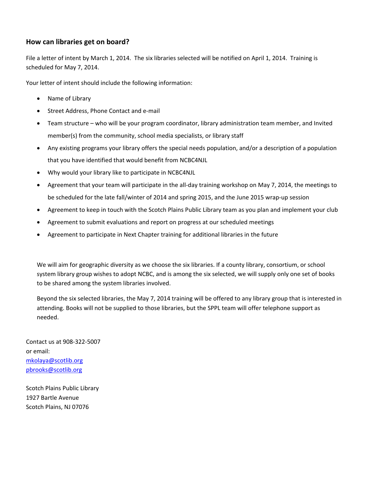#### **How can libraries get on board?**

File a letter of intent by March 1, 2014. The six libraries selected will be notified on April 1, 2014. Training is scheduled for May 7, 2014.

Your letter of intent should include the following information:

- Name of Library
- Street Address, Phone Contact and e-mail
- Team structure who will be your program coordinator, library administration team member, and Invited member(s) from the community, school media specialists, or library staff
- Any existing programs your library offers the special needs population, and/or a description of a population that you have identified that would benefit from NCBC4NJL
- Why would your library like to participate in NCBC4NJL
- Agreement that your team will participate in the all-day training workshop on May 7, 2014, the meetings to be scheduled for the late fall/winter of 2014 and spring 2015, and the June 2015 wrap-up session
- Agreement to keep in touch with the Scotch Plains Public Library team as you plan and implement your club
- Agreement to submit evaluations and report on progress at our scheduled meetings
- Agreement to participate in Next Chapter training for additional libraries in the future

We will aim for geographic diversity as we choose the six libraries. If a county library, consortium, or school system library group wishes to adopt NCBC, and is among the six selected, we will supply only one set of books to be shared among the system libraries involved.

Beyond the six selected libraries, the May 7, 2014 training will be offered to any library group that is interested in attending. Books will not be supplied to those libraries, but the SPPL team will offer telephone support as needed.

Contact us at 908‐322‐5007 or email: mkolaya@scotlib.org pbrooks@scotlib.org

Scotch Plains Public Library 1927 Bartle Avenue Scotch Plains, NJ 07076